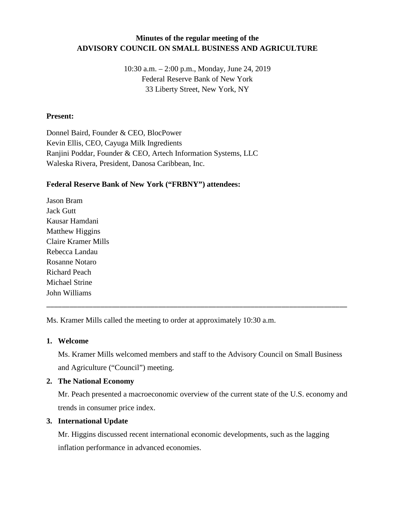# **Minutes of the regular meeting of the ADVISORY COUNCIL ON SMALL BUSINESS AND AGRICULTURE**

10:30 a.m. – 2:00 p.m., Monday, June 24, 2019 Federal Reserve Bank of New York 33 Liberty Street, New York, NY

### **Present:**

Donnel Baird, Founder & CEO, BlocPower Kevin Ellis, CEO, Cayuga Milk Ingredients Ranjini Poddar, Founder & CEO, Artech Information Systems, LLC Waleska Rivera, President, Danosa Caribbean, Inc.

## **Federal Reserve Bank of New York ("FRBNY") attendees:**

Jason Bram Jack Gutt Kausar Hamdani Matthew Higgins Claire Kramer Mills Rebecca Landau Rosanne Notaro Richard Peach Michael Strine John Williams

Ms. Kramer Mills called the meeting to order at approximately 10:30 a.m.

#### **1. Welcome**

Ms. Kramer Mills welcomed members and staff to the Advisory Council on Small Business and Agriculture ("Council") meeting.

\_\_\_\_\_\_\_\_\_\_\_\_\_\_\_\_\_\_\_\_\_\_\_\_\_\_\_\_\_\_\_\_\_\_\_\_\_\_\_\_\_\_\_\_\_\_\_\_\_\_\_\_\_\_\_\_\_\_\_\_\_\_\_\_\_\_\_\_\_\_\_\_\_\_\_\_\_\_

## **2. The National Economy**

Mr. Peach presented a macroeconomic overview of the current state of the U.S. economy and trends in consumer price index.

## **3. International Update**

Mr. Higgins discussed recent international economic developments, such as the lagging inflation performance in advanced economies.